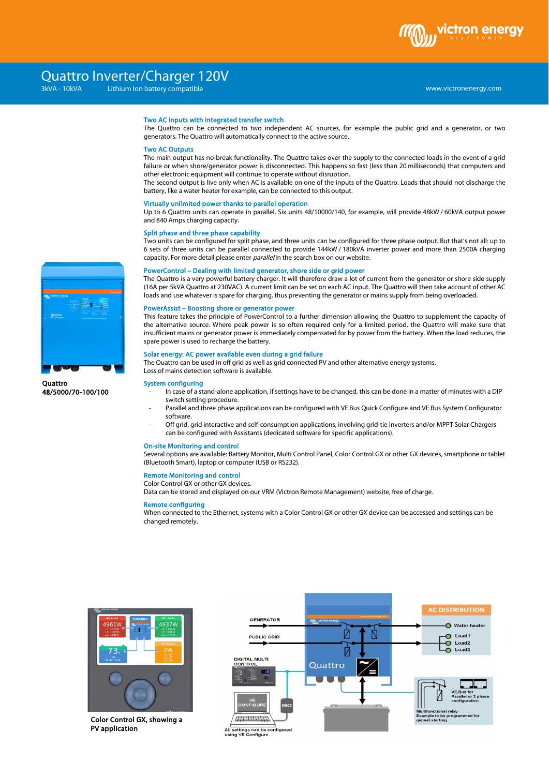ctron ene

# Two AC inputs with integrated transfer switch

The Quattro can be connected to two independent AC sources, for example the public grid and a generator, or two generators. The Quattro will automatically connect to the active source.

### Two AC Outputs

The main output has no-break functionality. The Quattro takes over the supply to the connected loads in the event of a grid failure or when shore/generator power is disconnected. This happens so fast (less than 20 milliseconds) that computers and other electronic equipment will continue to operate without disruption.

The second output is live only when AC is available on one of the inputs of the Quattro. Loads that should not discharge the battery, like a water heater for example, can be connected to this output.

### Virtually unlimited power thanks to parallel operation

Up to 6 Quattro units can operate in parallel. Six units 48/10000/140, for example, will provide 48kW / 60kVA output power and 840 Amps charging capacity.

### Split phase and three phase capability

Two units can be configured for split phase, and three units can be configured for three phase output. But that's not all: up to 6 sets of three units can be parallel connected to provide 144kW / 180kVA inverter power and more than 2500A charging capacity. For more detail please enter *parallel* in the search box on our website.

## PowerControl – Dealing with limited generator, shore side or grid power

The Quattro is a very powerful battery charger. It will therefore draw a lot of current from the generator or shore side supply (16A per 5kVA Quattro at 230VAC). A current limit can be set on each AC input. The Quattro will then take account of other AC loads and use whatever is spare for charging, thus preventing the generator or mains supply from being overloaded.

# PowerAssist – Boosting shore or generator power

This feature takes the principle of PowerControl to a further dimension allowing the Quattro to supplement the capacity of the alternative source. Where peak power is so often required only for a limited period, the Quattro will make sure that insufficient mains or generator power is immediately compensated for by power from the battery. When the load reduces, the spare power is used to recharge the battery.

## Solar energy: AC power available even during a grid failure

The Quattro can be used in off grid as well as grid connected PV and other alternative energy systems.

Loss of mains detection software is available.

# System configuring

- In case of a stand-alone application, if settings have to be changed, this can be done in a matter of minutes with a DIP switch setting procedure.
- Parallel and three phase applications can be configured with VE.Bus Quick Configure and VE.Bus System Configurator software.
- Off grid, grid interactive and self-consumption applications, involving grid-tie inverters and/or MPPT Solar Chargers can be configured with Assistants (dedicated software for specific applications).

#### On-site Monitoring and control

Several options are available: Battery Monitor, Multi Control Panel, Color Control GX or other GX devices, smartphone or tablet (Bluetooth Smart), laptop or computer (USB or RS232).

## Remote Monitoring and control

Color Control GX or other GX devices.

Data can be stored and displayed on our VRM (Victron Remote Management) website, free of charge.

# Remote configuring

When connected to the Ethernet, systems with a Color Control GX or other GX device can be accessed and settings can be changed remotely.



Color Control GX, showing a PV application





**Quattro** 48/5000/70-100/100